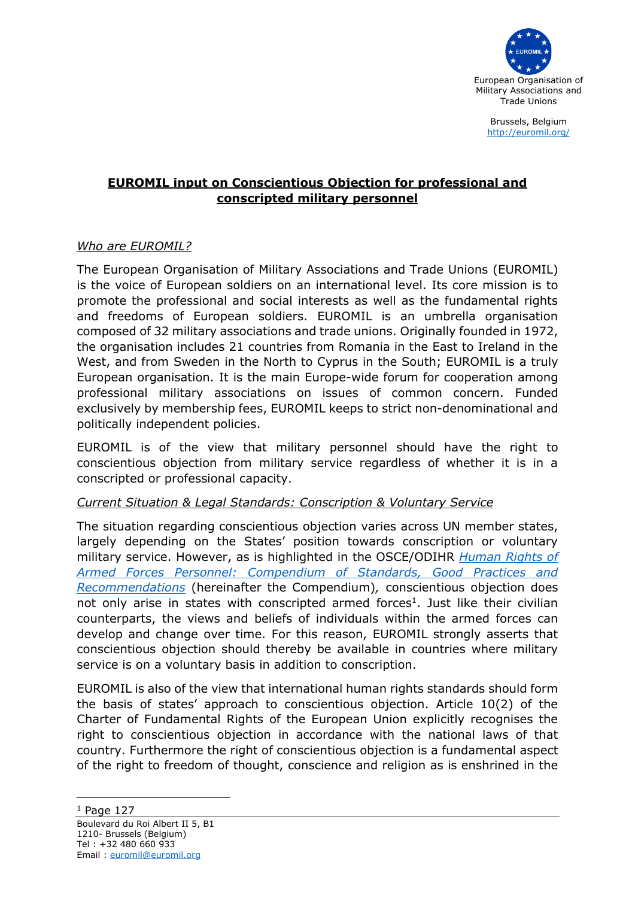

Brussels, Belgium <http://euromil.org/>

# **EUROMIL input on Conscientious Objection for professional and conscripted military personnel**

## *Who are EUROMIL?*

The European Organisation of Military Associations and Trade Unions (EUROMIL) is the voice of European soldiers on an international level. Its core mission is to promote the professional and social interests as well as the fundamental rights and freedoms of European soldiers. EUROMIL is an umbrella organisation composed of 32 military associations and trade unions. Originally founded in 1972, the organisation includes 21 countries from Romania in the East to Ireland in the West, and from Sweden in the North to Cyprus in the South; EUROMIL is a truly European organisation. It is the main Europe-wide forum for cooperation among professional military associations on issues of common concern. Funded exclusively by membership fees, EUROMIL keeps to strict non-denominational and politically independent policies.

EUROMIL is of the view that military personnel should have the right to conscientious objection from military service regardless of whether it is in a conscripted or professional capacity.

### *Current Situation & Legal Standards: Conscription & Voluntary Service*

The situation regarding conscientious objection varies across UN member states, largely depending on the States' position towards conscription or voluntary military service. However, as is highlighted in the OSCE/ODIHR *[Human Rights of](https://www.osce.org/files/f/documents/6/5/480143_1.pdf)  [Armed Forces Personnel: Compendium of Standards, Good Practices and](https://www.osce.org/files/f/documents/6/5/480143_1.pdf)  [Recommendations](https://www.osce.org/files/f/documents/6/5/480143_1.pdf)* (hereinafter the Compendium)*,* conscientious objection does not only arise in states with conscripted armed forces<sup>1</sup>. Just like their civilian counterparts, the views and beliefs of individuals within the armed forces can develop and change over time. For this reason, EUROMIL strongly asserts that conscientious objection should thereby be available in countries where military service is on a voluntary basis in addition to conscription.

EUROMIL is also of the view that international human rights standards should form the basis of states' approach to conscientious objection. Article 10(2) of the Charter of Fundamental Rights of the European Union explicitly recognises the right to conscientious objection in accordance with the national laws of that country. Furthermore the right of conscientious objection is a fundamental aspect of the right to freedom of thought, conscience and religion as is enshrined in the

 $<sup>1</sup>$  Page 127</sup>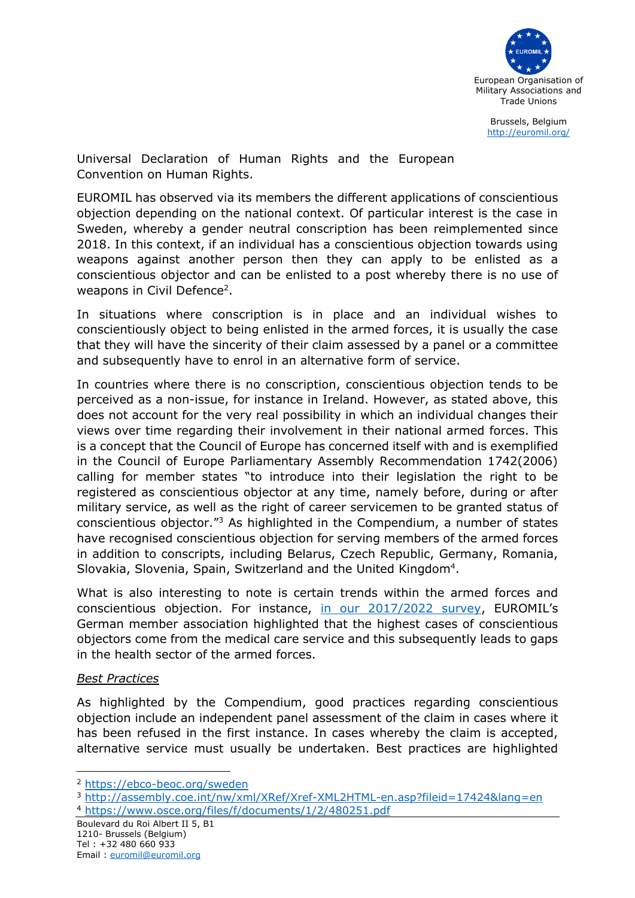

Brussels, Belgium <http://euromil.org/>

Universal Declaration of Human Rights and the European Convention on Human Rights.

EUROMIL has observed via its members the different applications of conscientious objection depending on the national context. Of particular interest is the case in Sweden, whereby a gender neutral conscription has been reimplemented since 2018. In this context, if an individual has a conscientious objection towards using weapons against another person then they can apply to be enlisted as a conscientious objector and can be enlisted to a post whereby there is no use of weapons in Civil Defence<sup>2</sup>.

In situations where conscription is in place and an individual wishes to conscientiously object to being enlisted in the armed forces, it is usually the case that they will have the sincerity of their claim assessed by a panel or a committee and subsequently have to enrol in an alternative form of service.

In countries where there is no conscription, conscientious objection tends to be perceived as a non-issue, for instance in Ireland. However, as stated above, this does not account for the very real possibility in which an individual changes their views over time regarding their involvement in their national armed forces. This is a concept that the Council of Europe has concerned itself with and is exemplified in the Council of Europe Parliamentary Assembly Recommendation 1742(2006) calling for member states "to introduce into their legislation the right to be registered as conscientious objector at any time, namely before, during or after military service, as well as the right of career servicemen to be granted status of conscientious objector."<sup>3</sup> As highlighted in the Compendium, a number of states have recognised conscientious objection for serving members of the armed forces in addition to conscripts, including Belarus, Czech Republic, Germany, Romania, Slovakia, Slovenia, Spain, Switzerland and the United Kingdom<sup>4</sup>.

What is also interesting to note is certain trends within the armed forces and conscientious objection. For instance, [in our 2017/2022 survey,](http://euromil.org/wp-content/uploads/2022/03/1702_Conscientious_objection.pdf) EUROMIL's German member association highlighted that the highest cases of conscientious objectors come from the medical care service and this subsequently leads to gaps in the health sector of the armed forces.

### *Best Practices*

As highlighted by the Compendium, good practices regarding conscientious objection include an independent panel assessment of the claim in cases where it has been refused in the first instance. In cases whereby the claim is accepted, alternative service must usually be undertaken. Best practices are highlighted

<sup>2</sup> <https://ebco-beoc.org/sweden>

<sup>3</sup> <http://assembly.coe.int/nw/xml/XRef/Xref-XML2HTML-en.asp?fileid=17424&lang=en> <sup>4</sup> <https://www.osce.org/files/f/documents/1/2/480251.pdf>